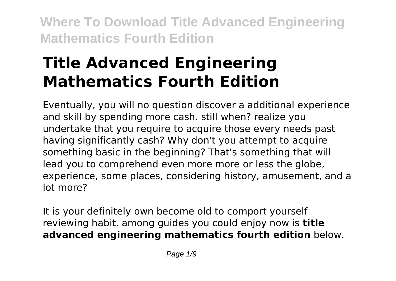# **Title Advanced Engineering Mathematics Fourth Edition**

Eventually, you will no question discover a additional experience and skill by spending more cash. still when? realize you undertake that you require to acquire those every needs past having significantly cash? Why don't you attempt to acquire something basic in the beginning? That's something that will lead you to comprehend even more more or less the globe, experience, some places, considering history, amusement, and a lot more?

It is your definitely own become old to comport yourself reviewing habit. among guides you could enjoy now is **title advanced engineering mathematics fourth edition** below.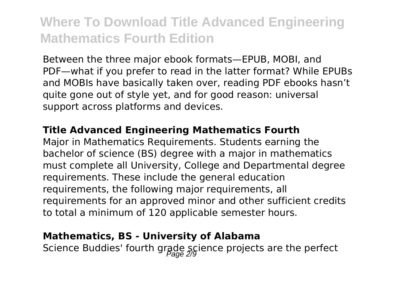Between the three major ebook formats—EPUB, MOBI, and PDF—what if you prefer to read in the latter format? While EPUBs and MOBIs have basically taken over, reading PDF ebooks hasn't quite gone out of style yet, and for good reason: universal support across platforms and devices.

#### **Title Advanced Engineering Mathematics Fourth**

Major in Mathematics Requirements. Students earning the bachelor of science (BS) degree with a major in mathematics must complete all University, College and Departmental degree requirements. These include the general education requirements, the following major requirements, all requirements for an approved minor and other sufficient credits to total a minimum of 120 applicable semester hours.

#### **Mathematics, BS - University of Alabama**

Science Buddies' fourth grade science projects are the perfect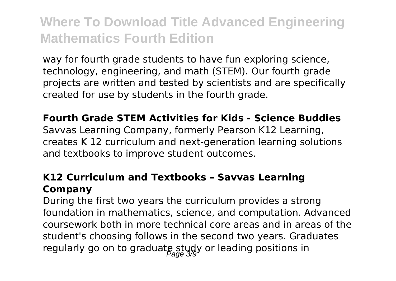way for fourth grade students to have fun exploring science, technology, engineering, and math (STEM). Our fourth grade projects are written and tested by scientists and are specifically created for use by students in the fourth grade.

#### **Fourth Grade STEM Activities for Kids - Science Buddies**

Savvas Learning Company, formerly Pearson K12 Learning, creates K 12 curriculum and next-generation learning solutions and textbooks to improve student outcomes.

### **K12 Curriculum and Textbooks – Savvas Learning Company**

During the first two years the curriculum provides a strong foundation in mathematics, science, and computation. Advanced coursework both in more technical core areas and in areas of the student's choosing follows in the second two years. Graduates regularly go on to graduate study or leading positions in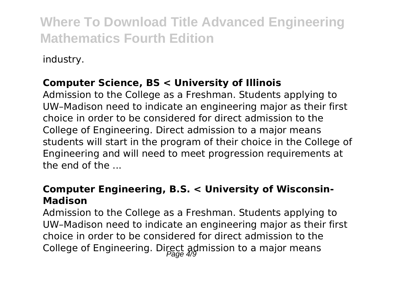industry.

### **Computer Science, BS < University of Illinois**

Admission to the College as a Freshman. Students applying to UW–Madison need to indicate an engineering major as their first choice in order to be considered for direct admission to the College of Engineering. Direct admission to a major means students will start in the program of their choice in the College of Engineering and will need to meet progression requirements at the end of the ...

### **Computer Engineering, B.S. < University of Wisconsin-Madison**

Admission to the College as a Freshman. Students applying to UW–Madison need to indicate an engineering major as their first choice in order to be considered for direct admission to the College of Engineering. Direct admission to a major means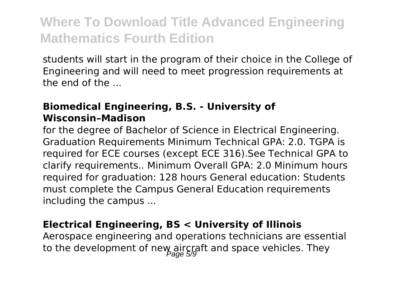students will start in the program of their choice in the College of Engineering and will need to meet progression requirements at the end of the ...

### **Biomedical Engineering, B.S. - University of Wisconsin–Madison**

for the degree of Bachelor of Science in Electrical Engineering. Graduation Requirements Minimum Technical GPA: 2.0. TGPA is required for ECE courses (except ECE 316).See Technical GPA to clarify requirements.. Minimum Overall GPA: 2.0 Minimum hours required for graduation: 128 hours General education: Students must complete the Campus General Education requirements including the campus ...

#### **Electrical Engineering, BS < University of Illinois**

Aerospace engineering and operations technicians are essential to the development of new aircraft and space vehicles. They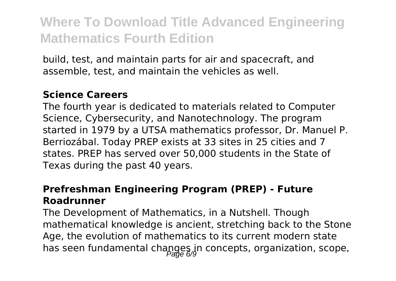build, test, and maintain parts for air and spacecraft, and assemble, test, and maintain the vehicles as well.

#### **Science Careers**

The fourth year is dedicated to materials related to Computer Science, Cybersecurity, and Nanotechnology. The program started in 1979 by a UTSA mathematics professor, Dr. Manuel P. Berriozábal. Today PREP exists at 33 sites in 25 cities and 7 states. PREP has served over 50,000 students in the State of Texas during the past 40 years.

### **Prefreshman Engineering Program (PREP) - Future Roadrunner**

The Development of Mathematics, in a Nutshell. Though mathematical knowledge is ancient, stretching back to the Stone Age, the evolution of mathematics to its current modern state has seen fundamental changes in concepts, organization, scope,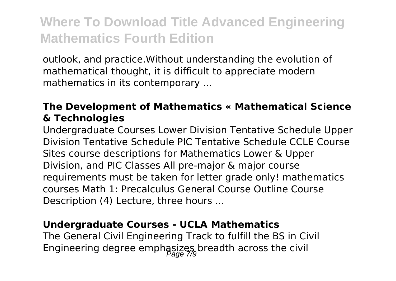outlook, and practice.Without understanding the evolution of mathematical thought, it is difficult to appreciate modern mathematics in its contemporary ...

### **The Development of Mathematics « Mathematical Science & Technologies**

Undergraduate Courses Lower Division Tentative Schedule Upper Division Tentative Schedule PIC Tentative Schedule CCLE Course Sites course descriptions for Mathematics Lower & Upper Division, and PIC Classes All pre-major & major course requirements must be taken for letter grade only! mathematics courses Math 1: Precalculus General Course Outline Course Description (4) Lecture, three hours ...

#### **Undergraduate Courses - UCLA Mathematics**

The General Civil Engineering Track to fulfill the BS in Civil Engineering degree emphasizes breadth across the civil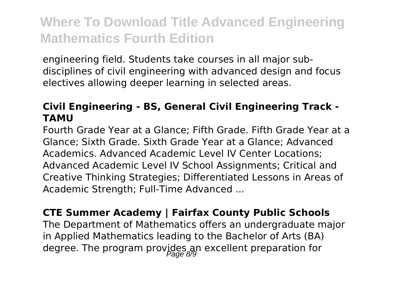engineering field. Students take courses in all major subdisciplines of civil engineering with advanced design and focus electives allowing deeper learning in selected areas.

### **Civil Engineering - BS, General Civil Engineering Track - TAMU**

Fourth Grade Year at a Glance; Fifth Grade. Fifth Grade Year at a Glance; Sixth Grade. Sixth Grade Year at a Glance; Advanced Academics. Advanced Academic Level IV Center Locations; Advanced Academic Level IV School Assignments; Critical and Creative Thinking Strategies; Differentiated Lessons in Areas of Academic Strength; Full-Time Advanced ...

### **CTE Summer Academy | Fairfax County Public Schools**

The Department of Mathematics offers an undergraduate major in Applied Mathematics leading to the Bachelor of Arts (BA) degree. The program provides an excellent preparation for